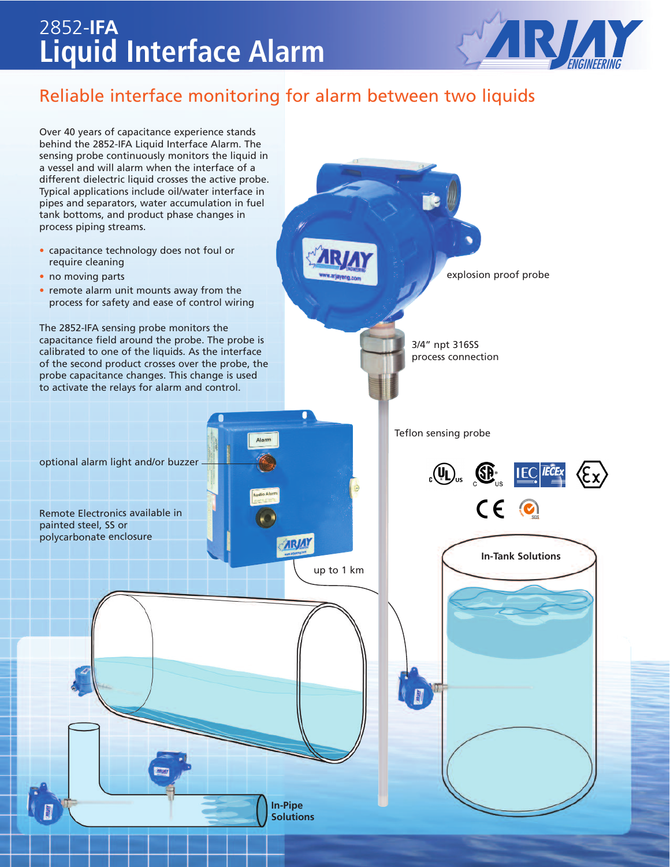## **Liquid Interface Alarm** 2852-**IFA**



### Reliable interface monitoring for alarm between two liquids

Over 40 years of capacitance experience stands behind the 2852-IFA Liquid Interface Alarm. The sensing probe continuously monitors the liquid in a vessel and will alarm when the interface of a different dielectric liquid crosses the active probe. Typical applications include oil/water interface in pipes and separators, water accumulation in fuel tank bottoms, and product phase changes in process piping streams. • capacitance technology does not foul or require cleaning • no moving parts **explosion proof probe** • remote alarm unit mounts away from the process for safety and ease of control wiring The 2852-IFA sensing probe monitors the capacitance field around the probe. The probe is 3/4" npt 316SS calibrated to one of the liquids. As the interface process connection of the second product crosses over the probe, the probe capacitance changes. This change is used to activate the relays for alarm and control. Teflon sensing probe optional alarm light and/or buzzer  $\mathbb{E}[\mathbb{Q}_{\mathrm{us}}]$   $\mathbb{E}[\mathbb{E}[\mathbb{E}\mathbb{E}]\times \mathbb{E}[\mathbb{E}]\times \mathbb{E}[\mathbb{E}[\mathbb{E}]\times \mathbb{E}[\mathbb{E}[\mathbb{E}]\times \mathbb{E}[\mathbb{E}[\mathbb{E}[\mathbb{E}[\mathbb{E}[\mathbb{E}[\mathbb{E}[\mathbb{E}[\mathbb{E}[\mathbb{E}[\mathbb{E}[\mathbb{E}[\mathbb{E}[\mathbb{E}[\mathbb{E}[\mathbb{E}[\mathbb{E}[\mathbb{E}[\mathbb{E}[\mathbb{E}$  $CE$ Remote Electronics available in painted steel, SS or polycarbonate enclosure **ARJAY In-Tank Solutions** up to 1 km **In-Pipe Solutions**